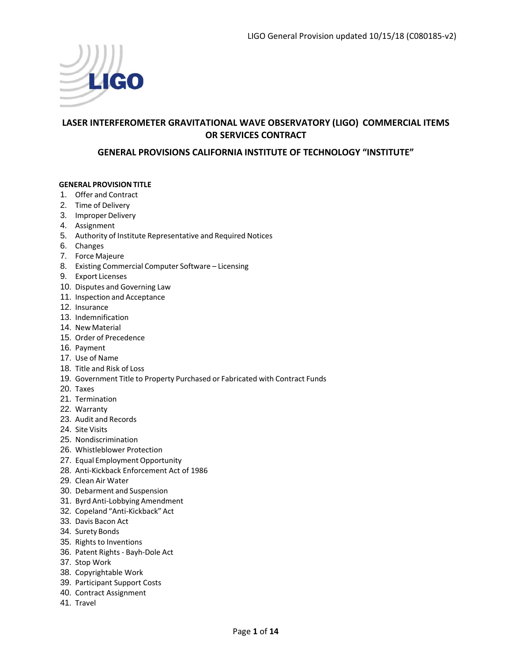

# **LASER INTERFEROMETER GRAVITATIONAL WAVE OBSERVATORY (LIGO) COMMERCIAL ITEMS OR SERVICES CONTRACT**

## **GENERAL PROVISIONS CALIFORNIA INSTITUTE OF TECHNOLOGY "INSTITUTE"**

#### **GENERAL PROVISIONTITLE**

- 1. Offer and Contract
- 2. Time of Delivery
- 3. Improper Delivery
- 4. Assignment
- 5. Authority of Institute Representative and Required Notices
- 6. Changes
- 7. Force Majeure
- 8. Existing Commercial Computer Software Licensing
- 9. Export Licenses
- 10. Disputes and Governing Law
- 11. Inspection and Acceptance
- 12. Insurance
- 13. Indemnification
- 14. New Material
- 15. Order of Precedence
- 16. Payment
- 17. Use of Name
- 18. Title and Risk of Loss
- 19. Government Title to Property Purchased or Fabricated with Contract Funds
- 20. Taxes
- 21. Termination
- 22. Warranty
- 23. Audit and Records
- 24. Site Visits
- 25. Nondiscrimination
- 26. Whistleblower Protection
- 27. Equal Employment Opportunity
- 28. Anti‐Kickback Enforcement Act of 1986
- 29. Clean Air Water
- 30. Debarment and Suspension
- 31. Byrd Anti‐Lobbying Amendment
- 32. Copeland "Anti‐Kickback" Act
- 33. Davis Bacon Act
- 34. Surety Bonds
- 35. Rights to Inventions
- 36. Patent Rights ‐ Bayh‐Dole Act
- 37. Stop Work
- 38. Copyrightable Work
- 39. Participant Support Costs
- 40. Contract Assignment
- 41. Travel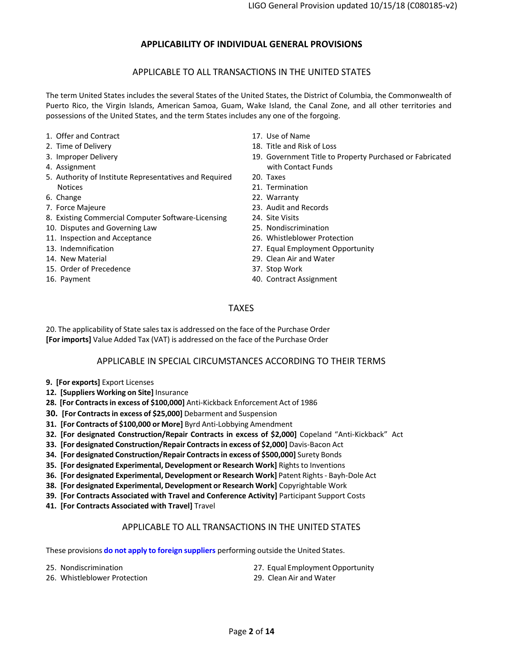## **APPLICABILITY OF INDIVIDUAL GENERAL PROVISIONS**

#### APPLICABLE TO ALL TRANSACTIONS IN THE UNITED STATES

The term United States includes the several States of the United States, the District of Columbia, the Commonwealth of Puerto Rico, the Virgin Islands, American Samoa, Guam, Wake Island, the Canal Zone, and all other territories and possessions of the United States, and the term States includes any one of the forgoing.

- 1. Offer and Contract
- 2. Time of Delivery
- 3. Improper Delivery
- 4. Assignment
- 5. Authority of Institute Representatives and Required Notices
- 6. Change
- 7. Force Majeure
- 8. Existing Commercial Computer Software‐Licensing
- 10. Disputes and Governing Law
- 11. Inspection and Acceptance
- 13. Indemnification
- 14. New Material
- 15. Order of Precedence
- 16. Payment
- 17. Use of Name
- 18. Title and Risk of Loss
- 19. Government Title to Property Purchased or Fabricated with Contact Funds
- 20. Taxes
- 21. Termination
- 22. Warranty
- 23. Audit and Records
- 24. Site Visits
- 25. Nondiscrimination
- 26. Whistleblower Protection
- 27. Equal Employment Opportunity
- 29. Clean Air and Water
- 37. Stop Work
- 40. Contract Assignment

### TAXES

20. The applicability of State sales tax is addressed on the face of the Purchase Order **[For imports]** Value Added Tax (VAT) is addressed on the face of the Purchase Order

#### APPLICABLE IN SPECIAL CIRCUMSTANCES ACCORDING TO THEIR TERMS

- **9. [For exports]** Export Licenses
- **12. [Suppliers Working on Site]** Insurance
- **28. [For Contractsin excess of \$100,000]** Anti‐Kickback Enforcement Act of 1986
- **30. [For Contractsin excess of \$25,000]** Debarment and Suspension
- **31. [For Contracts of \$100,000 or More]** Byrd Anti‐Lobbying Amendment
- **32. [For designated Construction/Repair Contracts in excess of \$2,000]** Copeland "Anti‐Kickback" Act
- **33. [For designated Construction/Repair Contractsin excess of \$2,000]** Davis‐Bacon Act
- **34. [For designated Construction/Repair Contractsin excess of \$500,000]** Surety Bonds
- **35. [For designated Experimental, Development or Research Work]** Rightsto Inventions
- **36. [For designated Experimental, Development or Research Work]** Patent Rights ‐ Bayh‐Dole Act
- **38. [For designated Experimental, Development or Research Work]** Copyrightable Work
- **39. [For Contracts Associated with Travel and Conference Activity]** Participant Support Costs
- **41. [For Contracts Associated with Travel]** Travel

#### APPLICABLE TO ALL TRANSACTIONS IN THE UNITED STATES

These provisions **do not apply to foreign suppliers** performing outside the United States.

- 25. Nondiscrimination
- 26. Whistleblower Protection
- 27. Equal Employment Opportunity
- 29. Clean Air and Water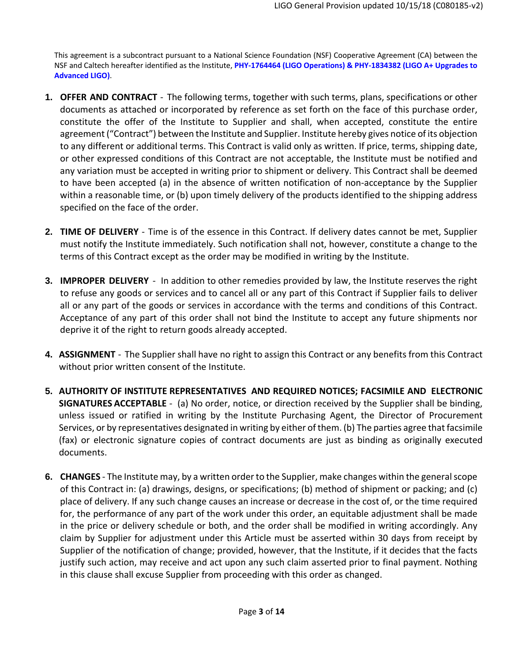This agreement is a subcontract pursuant to a National Science Foundation (NSF) Cooperative Agreement (CA) between the NSF and Caltech hereafter identified as the Institute, **PHY‐1764464 (LIGO Operations) & PHY‐1834382 (LIGO A+ Upgrades to Advanced LIGO)**.

- **1. OFFER AND CONTRACT** ‐ The following terms, together with such terms, plans, specifications or other documents as attached or incorporated by reference as set forth on the face of this purchase order, constitute the offer of the Institute to Supplier and shall, when accepted, constitute the entire agreement ("Contract") between the Institute and Supplier. Institute hereby gives notice of its objection to any different or additional terms. This Contract is valid only as written. If price, terms, shipping date, or other expressed conditions of this Contract are not acceptable, the Institute must be notified and any variation must be accepted in writing prior to shipment or delivery. This Contract shall be deemed to have been accepted (a) in the absence of written notification of non‐acceptance by the Supplier within a reasonable time, or (b) upon timely delivery of the products identified to the shipping address specified on the face of the order.
- **2. TIME OF DELIVERY** ‐ Time is of the essence in this Contract. If delivery dates cannot be met, Supplier must notify the Institute immediately. Such notification shall not, however, constitute a change to the terms of this Contract except as the order may be modified in writing by the Institute.
- **3. IMPROPER DELIVERY** ‐ In addition to other remedies provided by law, the Institute reserves the right to refuse any goods or services and to cancel all or any part of this Contract if Supplier fails to deliver all or any part of the goods or services in accordance with the terms and conditions of this Contract. Acceptance of any part of this order shall not bind the Institute to accept any future shipments nor deprive it of the right to return goods already accepted.
- **4. ASSIGNMENT** ‐ The Supplier shall have no right to assign this Contract or any benefits from this Contract without prior written consent of the Institute.
- **5. AUTHORITY OF INSTITUTE REPRESENTATIVES AND REQUIRED NOTICES; FACSIMILE AND ELECTRONIC SIGNATURES ACCEPTABLE** ‐ (a) No order, notice, or direction received by the Supplier shall be binding, unless issued or ratified in writing by the Institute Purchasing Agent, the Director of Procurement Services, or by representatives designated in writing by either of them. (b) The parties agree that facsimile (fax) or electronic signature copies of contract documents are just as binding as originally executed documents.
- **6. CHANGES** The Institute may, by a written order to the Supplier, make changes within the general scope of this Contract in: (a) drawings, designs, or specifications; (b) method of shipment or packing; and (c) place of delivery. If any such change causes an increase or decrease in the cost of, or the time required for, the performance of any part of the work under this order, an equitable adjustment shall be made in the price or delivery schedule or both, and the order shall be modified in writing accordingly. Any claim by Supplier for adjustment under this Article must be asserted within 30 days from receipt by Supplier of the notification of change; provided, however, that the Institute, if it decides that the facts justify such action, may receive and act upon any such claim asserted prior to final payment. Nothing in this clause shall excuse Supplier from proceeding with this order as changed.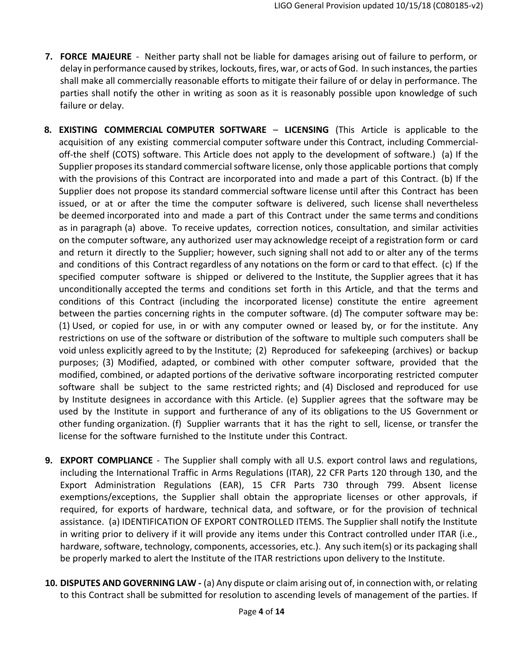- **7. FORCE MAJEURE** ‐ Neither party shall not be liable for damages arising out of failure to perform, or delay in performance caused by strikes, lockouts, fires, war, or acts of God. In such instances, the parties shall make all commercially reasonable efforts to mitigate their failure of or delay in performance. The parties shall notify the other in writing as soon as it is reasonably possible upon knowledge of such failure or delay.
- **8. EXISTING COMMERCIAL COMPUTER SOFTWARE LICENSING** (This Article is applicable to the acquisition of any existing commercial computer software under this Contract, including Commercial‐ off‐the shelf (COTS) software. This Article does not apply to the development of software.) (a) If the Supplier proposes its standard commercial software license, only those applicable portions that comply with the provisions of this Contract are incorporated into and made a part of this Contract. (b) If the Supplier does not propose its standard commercial software license until after this Contract has been issued, or at or after the time the computer software is delivered, such license shall nevertheless be deemed incorporated into and made a part of this Contract under the same terms and conditions as in paragraph (a) above. To receive updates, correction notices, consultation, and similar activities on the computer software, any authorized user may acknowledge receipt of a registration form or card and return it directly to the Supplier; however, such signing shall not add to or alter any of the terms and conditions of this Contract regardless of any notations on the form or card to that effect. (c) If the specified computer software is shipped or delivered to the Institute, the Supplier agrees that it has unconditionally accepted the terms and conditions set forth in this Article, and that the terms and conditions of this Contract (including the incorporated license) constitute the entire agreement between the parties concerning rights in the computer software. (d) The computer software may be: (1) Used, or copied for use, in or with any computer owned or leased by, or for the institute. Any restrictions on use of the software or distribution of the software to multiple such computers shall be void unless explicitly agreed to by the Institute; (2) Reproduced for safekeeping (archives) or backup purposes; (3) Modified, adapted, or combined with other computer software, provided that the modified, combined, or adapted portions of the derivative software incorporating restricted computer software shall be subject to the same restricted rights; and (4) Disclosed and reproduced for use by Institute designees in accordance with this Article. (e) Supplier agrees that the software may be used by the Institute in support and furtherance of any of its obligations to the US Government or other funding organization. (f) Supplier warrants that it has the right to sell, license, or transfer the license for the software furnished to the Institute under this Contract.
- **9. EXPORT COMPLIANCE** ‐ The Supplier shall comply with all U.S. export control laws and regulations, including the International Traffic in Arms Regulations (ITAR), 22 CFR Parts 120 through 130, and the Export Administration Regulations (EAR), 15 CFR Parts 730 through 799. Absent license exemptions/exceptions, the Supplier shall obtain the appropriate licenses or other approvals, if required, for exports of hardware, technical data, and software, or for the provision of technical assistance. (a) IDENTIFICATION OF EXPORT CONTROLLED ITEMS. The Supplier shall notify the Institute in writing prior to delivery if it will provide any items under this Contract controlled under ITAR (i.e., hardware, software, technology, components, accessories, etc.). Any such item(s) or its packaging shall be properly marked to alert the Institute of the ITAR restrictions upon delivery to the Institute.
- **10. DISPUTES AND GOVERNING LAW ‐** (a) Any dispute or claim arising out of, in connection with, or relating to this Contract shall be submitted for resolution to ascending levels of management of the parties. If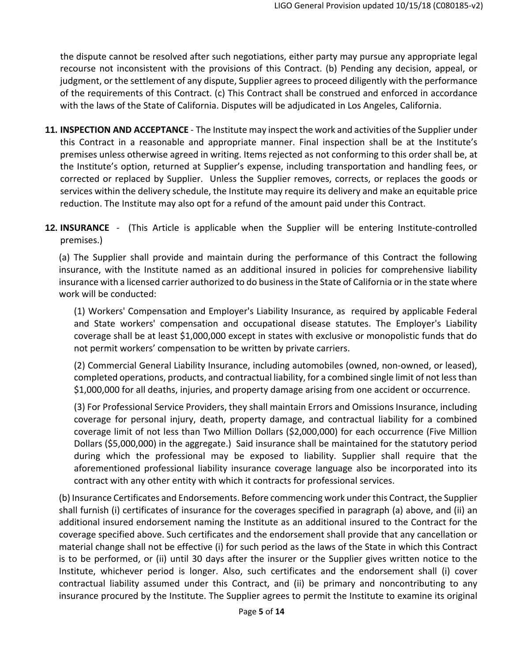the dispute cannot be resolved after such negotiations, either party may pursue any appropriate legal recourse not inconsistent with the provisions of this Contract. (b) Pending any decision, appeal, or judgment, or the settlement of any dispute, Supplier agreesto proceed diligently with the performance of the requirements of this Contract. (c) This Contract shall be construed and enforced in accordance with the laws of the State of California. Disputes will be adjudicated in Los Angeles, California.

- **11. INSPECTION AND ACCEPTANCE** ‐ The Institute may inspect the work and activities of the Supplier under this Contract in a reasonable and appropriate manner. Final inspection shall be at the Institute's premises unless otherwise agreed in writing. Items rejected as not conforming to this order shall be, at the Institute's option, returned at Supplier's expense, including transportation and handling fees, or corrected or replaced by Supplier. Unless the Supplier removes, corrects, or replaces the goods or services within the delivery schedule, the Institute may require its delivery and make an equitable price reduction. The Institute may also opt for a refund of the amount paid under this Contract.
- **12. INSURANCE** (This Article is applicable when the Supplier will be entering Institute-controlled premises.)

(a) The Supplier shall provide and maintain during the performance of this Contract the following insurance, with the Institute named as an additional insured in policies for comprehensive liability insurance with a licensed carrier authorized to do businessin the State of California or in the state where work will be conducted:

(1) Workers' Compensation and Employer's Liability Insurance, as required by applicable Federal and State workers' compensation and occupational disease statutes. The Employer's Liability coverage shall be at least \$1,000,000 except in states with exclusive or monopolistic funds that do not permit workers' compensation to be written by private carriers.

(2) Commercial General Liability Insurance, including automobiles (owned, non‐owned, or leased), completed operations, products, and contractual liability, for a combined single limit of not lessthan \$1,000,000 for all deaths, injuries, and property damage arising from one accident or occurrence.

(3) For Professional Service Providers, they shall maintain Errors and Omissions Insurance, including coverage for personal injury, death, property damage, and contractual liability for a combined coverage limit of not less than Two Million Dollars (\$2,000,000) for each occurrence (Five Million Dollars (\$5,000,000) in the aggregate.) Said insurance shall be maintained for the statutory period during which the professional may be exposed to liability. Supplier shall require that the aforementioned professional liability insurance coverage language also be incorporated into its contract with any other entity with which it contracts for professional services.

(b) Insurance Certificates and Endorsements. Before commencing work underthis Contract, the Supplier shall furnish (i) certificates of insurance for the coverages specified in paragraph (a) above, and (ii) an additional insured endorsement naming the Institute as an additional insured to the Contract for the coverage specified above. Such certificates and the endorsement shall provide that any cancellation or material change shall not be effective (i) for such period as the laws of the State in which this Contract is to be performed, or (ii) until 30 days after the insurer or the Supplier gives written notice to the Institute, whichever period is longer. Also, such certificates and the endorsement shall (i) cover contractual liability assumed under this Contract, and (ii) be primary and noncontributing to any insurance procured by the Institute. The Supplier agrees to permit the Institute to examine its original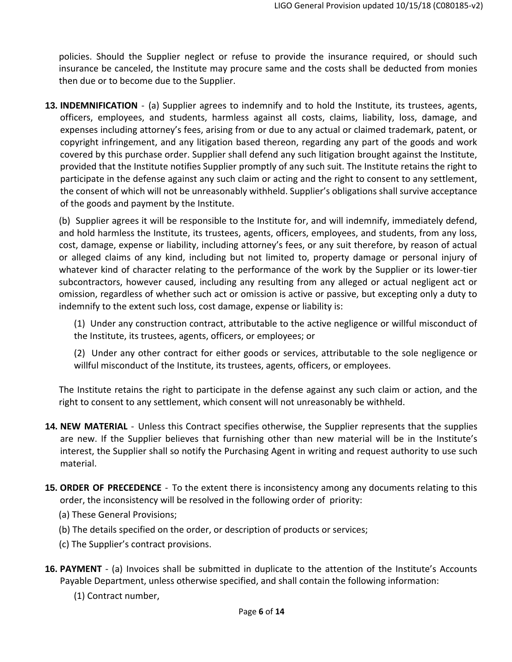policies. Should the Supplier neglect or refuse to provide the insurance required, or should such insurance be canceled, the Institute may procure same and the costs shall be deducted from monies then due or to become due to the Supplier.

**13. INDEMNIFICATION** ‐ (a) Supplier agrees to indemnify and to hold the Institute, its trustees, agents, officers, employees, and students, harmless against all costs, claims, liability, loss, damage, and expenses including attorney's fees, arising from or due to any actual or claimed trademark, patent, or copyright infringement, and any litigation based thereon, regarding any part of the goods and work covered by this purchase order. Supplier shall defend any such litigation brought against the Institute, provided that the Institute notifies Supplier promptly of any such suit. The Institute retains the right to participate in the defense against any such claim or acting and the right to consent to any settlement, the consent of which will not be unreasonably withheld. Supplier's obligations shall survive acceptance of the goods and payment by the Institute.

(b) Supplier agrees it will be responsible to the Institute for, and will indemnify, immediately defend, and hold harmless the Institute, its trustees, agents, officers, employees, and students, from any loss, cost, damage, expense or liability, including attorney's fees, or any suit therefore, by reason of actual or alleged claims of any kind, including but not limited to, property damage or personal injury of whatever kind of character relating to the performance of the work by the Supplier or its lower-tier subcontractors, however caused, including any resulting from any alleged or actual negligent act or omission, regardless of whether such act or omission is active or passive, but excepting only a duty to indemnify to the extent such loss, cost damage, expense or liability is:

(1) Under any construction contract, attributable to the active negligence or willful misconduct of the Institute, its trustees, agents, officers, or employees; or

(2) Under any other contract for either goods or services, attributable to the sole negligence or willful misconduct of the Institute, its trustees, agents, officers, or employees.

The Institute retains the right to participate in the defense against any such claim or action, and the right to consent to any settlement, which consent will not unreasonably be withheld.

- **14. NEW MATERIAL** ‐ Unless this Contract specifies otherwise, the Supplier represents that the supplies are new. If the Supplier believes that furnishing other than new material will be in the Institute's interest, the Supplier shall so notify the Purchasing Agent in writing and request authority to use such material.
- **15. ORDER OF PRECEDENCE** ‐ To the extent there is inconsistency among any documents relating to this order, the inconsistency will be resolved in the following order of priority:
	- (a) These General Provisions;
	- (b) The details specified on the order, or description of products or services;
	- (c) The Supplier's contract provisions.
- **16. PAYMENT** ‐ (a) Invoices shall be submitted in duplicate to the attention of the Institute's Accounts Payable Department, unless otherwise specified, and shall contain the following information:
	- (1) Contract number,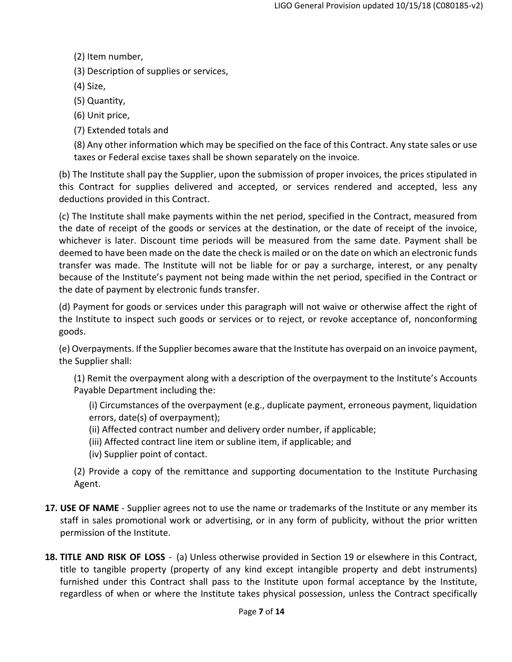(2) Item number,

(3) Description of supplies or services,

(4) Size,

(5) Quantity,

(6) Unit price,

(7) Extended totals and

(8) Any other information which may be specified on the face of this Contract. Any state sales or use taxes or Federal excise taxes shall be shown separately on the invoice.

(b) The Institute shall pay the Supplier, upon the submission of proper invoices, the prices stipulated in this Contract for supplies delivered and accepted, or services rendered and accepted, less any deductions provided in this Contract.

(c) The Institute shall make payments within the net period, specified in the Contract, measured from the date of receipt of the goods or services at the destination, or the date of receipt of the invoice, whichever is later. Discount time periods will be measured from the same date. Payment shall be deemed to have been made on the date the check is mailed or on the date on which an electronic funds transfer was made. The Institute will not be liable for or pay a surcharge, interest, or any penalty because of the Institute's payment not being made within the net period, specified in the Contract or the date of payment by electronic funds transfer.

(d) Payment for goods or services under this paragraph will not waive or otherwise affect the right of the Institute to inspect such goods or services or to reject, or revoke acceptance of, nonconforming goods.

(e) Overpayments. If the Supplier becomes aware that the Institute has overpaid on an invoice payment, the Supplier shall:

(1) Remit the overpayment along with a description of the overpayment to the Institute's Accounts Payable Department including the:

(i) Circumstances of the overpayment (e.g., duplicate payment, erroneous payment, liquidation errors, date(s) of overpayment);

- (ii) Affected contract number and delivery order number, if applicable;
- (iii) Affected contract line item or subline item, if applicable; and
- (iv) Supplier point of contact.

(2) Provide a copy of the remittance and supporting documentation to the Institute Purchasing Agent.

- **17. USE OF NAME** ‐ Supplier agrees not to use the name or trademarks of the Institute or any member its staff in sales promotional work or advertising, or in any form of publicity, without the prior written permission of the Institute.
- **18. TITLE AND RISK OF LOSS** ‐ (a) Unless otherwise provided in Section 19 or elsewhere in this Contract, title to tangible property (property of any kind except intangible property and debt instruments) furnished under this Contract shall pass to the Institute upon formal acceptance by the Institute, regardless of when or where the Institute takes physical possession, unless the Contract specifically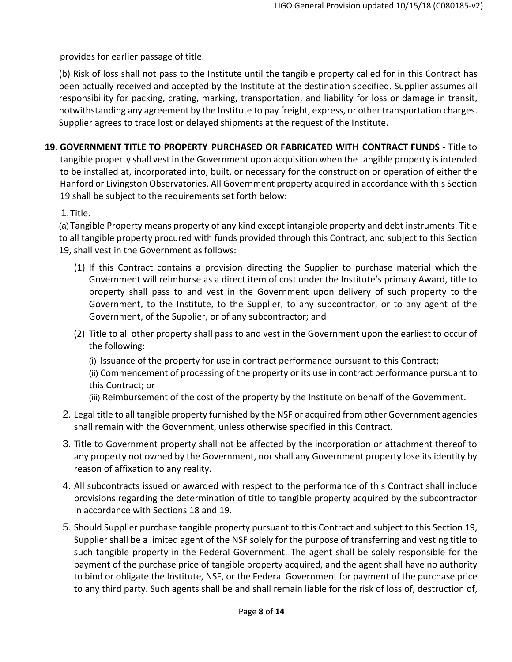provides for earlier passage of title.

(b) Risk of loss shall not pass to the Institute until the tangible property called for in this Contract has been actually received and accepted by the Institute at the destination specified. Supplier assumes all responsibility for packing, crating, marking, transportation, and liability for loss or damage in transit, notwithstanding any agreement by the Institute to pay freight, express, or other transportation charges. Supplier agrees to trace lost or delayed shipments at the request of the Institute.

**19. GOVERNMENT TITLE TO PROPERTY PURCHASED OR FABRICATED WITH CONTRACT FUNDS** ‐ Title to tangible property shall vest in the Government upon acquisition when the tangible property is intended to be installed at, incorporated into, built, or necessary for the construction or operation of either the Hanford or Livingston Observatories. All Government property acquired in accordance with this Section 19 shall be subject to the requirements set forth below:

1. Title.

(a) Tangible Property means property of any kind except intangible property and debt instruments. Title to all tangible property procured with funds provided through this Contract, and subject to this Section 19, shall vest in the Government as follows:

- (1) If this Contract contains a provision directing the Supplier to purchase material which the Government will reimburse as a direct item of cost under the Institute's primary Award, title to property shall pass to and vest in the Government upon delivery of such property to the Government, to the Institute, to the Supplier, to any subcontractor, or to any agent of the Government, of the Supplier, or of any subcontractor; and
- (2) Title to all other property shall pass to and vest in the Government upon the earliest to occur of the following:
	- (i) Issuance of the property for use in contract performance pursuant to this Contract;
	- (ii) Commencement of processing of the property or its use in contract performance pursuant to this Contract; or
	- (iii) Reimbursement of the cost of the property by the Institute on behalf of the Government.
- 2. Legal title to all tangible property furnished by the NSF or acquired from other Government agencies shall remain with the Government, unless otherwise specified in this Contract.
- 3. Title to Government property shall not be affected by the incorporation or attachment thereof to any property not owned by the Government, nor shall any Government property lose its identity by reason of affixation to any reality.
- 4. All subcontracts issued or awarded with respect to the performance of this Contract shall include provisions regarding the determination of title to tangible property acquired by the subcontractor in accordance with Sections 18 and 19.
- 5. Should Supplier purchase tangible property pursuant to this Contract and subject to this Section 19, Supplier shall be a limited agent of the NSF solely for the purpose of transferring and vesting title to such tangible property in the Federal Government. The agent shall be solely responsible for the payment of the purchase price of tangible property acquired, and the agent shall have no authority to bind or obligate the Institute, NSF, or the Federal Government for payment of the purchase price to any third party. Such agents shall be and shall remain liable for the risk of loss of, destruction of,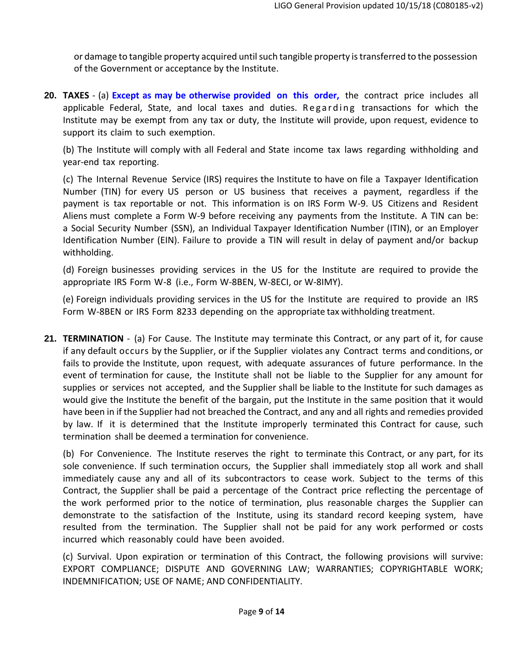or damage to tangible property acquired until such tangible property is transferred to the possession of the Government or acceptance by the Institute.

**20. TAXES** ‐ (a) **Except as may be otherwise provided on this order,** the contract price includes all applicable Federal, State, and local taxes and duties. Regarding transactions for which the Institute may be exempt from any tax or duty, the Institute will provide, upon request, evidence to support its claim to such exemption.

(b) The Institute will comply with all Federal and State income tax laws regarding withholding and year‐end tax reporting.

(c) The Internal Revenue Service (IRS) requires the Institute to have on file a Taxpayer Identification Number (TIN) for every US person or US business that receives a payment, regardless if the payment is tax reportable or not. This information is on IRS Form W‐9. US Citizens and Resident Aliens must complete a Form W‐9 before receiving any payments from the Institute. A TIN can be: a Social Security Number (SSN), an Individual Taxpayer Identification Number (ITIN), or an Employer Identification Number (EIN). Failure to provide a TIN will result in delay of payment and/or backup withholding.

(d) Foreign businesses providing services in the US for the Institute are required to provide the appropriate IRS Form W‐8 (i.e., Form W‐8BEN, W‐8ECI, or W‐8IMY).

(e) Foreign individuals providing services in the US for the Institute are required to provide an IRS Form W‐8BEN or IRS Form 8233 depending on the appropriate tax withholding treatment.

**21. TERMINATION** ‐ (a) For Cause. The Institute may terminate this Contract, or any part of it, for cause if any default occurs by the Supplier, or if the Supplier violates any Contract terms and conditions, or fails to provide the Institute, upon request, with adequate assurances of future performance. In the event of termination for cause, the Institute shall not be liable to the Supplier for any amount for supplies or services not accepted, and the Supplier shall be liable to the Institute for such damages as would give the Institute the benefit of the bargain, put the Institute in the same position that it would have been in if the Supplier had not breached the Contract, and any and all rights and remedies provided by law. If it is determined that the Institute improperly terminated this Contract for cause, such termination shall be deemed a termination for convenience.

(b) For Convenience. The Institute reserves the right to terminate this Contract, or any part, for its sole convenience. If such termination occurs, the Supplier shall immediately stop all work and shall immediately cause any and all of its subcontractors to cease work. Subject to the terms of this Contract, the Supplier shall be paid a percentage of the Contract price reflecting the percentage of the work performed prior to the notice of termination, plus reasonable charges the Supplier can demonstrate to the satisfaction of the Institute, using its standard record keeping system, have resulted from the termination. The Supplier shall not be paid for any work performed or costs incurred which reasonably could have been avoided.

(c) Survival. Upon expiration or termination of this Contract, the following provisions will survive: EXPORT COMPLIANCE; DISPUTE AND GOVERNING LAW; WARRANTIES; COPYRIGHTABLE WORK; INDEMNIFICATION; USE OF NAME; AND CONFIDENTIALITY.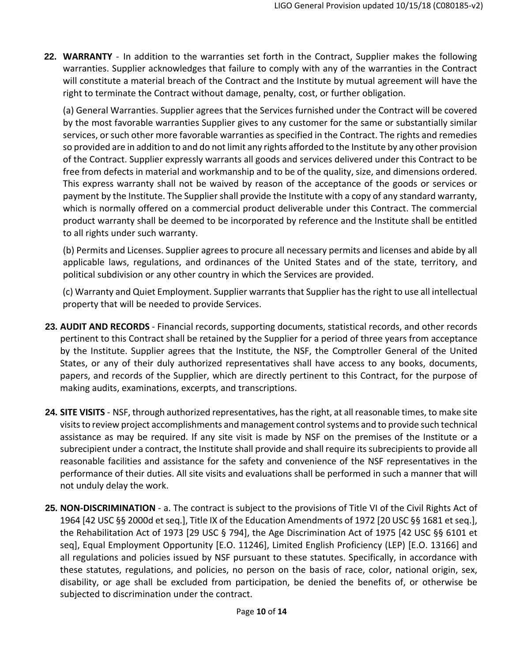**22. WARRANTY** ‐ In addition to the warranties set forth in the Contract, Supplier makes the following warranties. Supplier acknowledges that failure to comply with any of the warranties in the Contract will constitute a material breach of the Contract and the Institute by mutual agreement will have the right to terminate the Contract without damage, penalty, cost, or further obligation.

(a) General Warranties. Supplier agrees that the Services furnished under the Contract will be covered by the most favorable warranties Supplier gives to any customer for the same or substantially similar services, or such other more favorable warranties asspecified in the Contract. The rights and remedies so provided are in addition to and do not limit any rights afforded to the Institute by any other provision of the Contract. Supplier expressly warrants all goods and services delivered under this Contract to be free from defects in material and workmanship and to be of the quality, size, and dimensions ordered. This express warranty shall not be waived by reason of the acceptance of the goods or services or payment by the Institute. The Supplier shall provide the Institute with a copy of any standard warranty, which is normally offered on a commercial product deliverable under this Contract. The commercial product warranty shall be deemed to be incorporated by reference and the Institute shall be entitled to all rights under such warranty.

(b) Permits and Licenses. Supplier agrees to procure all necessary permits and licenses and abide by all applicable laws, regulations, and ordinances of the United States and of the state, territory, and political subdivision or any other country in which the Services are provided.

(c) Warranty and Quiet Employment. Supplier warrantsthat Supplier hasthe right to use all intellectual property that will be needed to provide Services.

- **23. AUDIT AND RECORDS** ‐ Financial records, supporting documents, statistical records, and other records pertinent to this Contract shall be retained by the Supplier for a period of three years from acceptance by the Institute. Supplier agrees that the Institute, the NSF, the Comptroller General of the United States, or any of their duly authorized representatives shall have access to any books, documents, papers, and records of the Supplier, which are directly pertinent to this Contract, for the purpose of making audits, examinations, excerpts, and transcriptions.
- **24. SITE VISITS** ‐ NSF, through authorized representatives, hasthe right, at all reasonable times, to make site visitsto review project accomplishments and management controlsystems and to provide such technical assistance as may be required. If any site visit is made by NSF on the premises of the Institute or a subrecipient under a contract, the Institute shall provide and shall require its subrecipients to provide all reasonable facilities and assistance for the safety and convenience of the NSF representatives in the performance of their duties. All site visits and evaluations shall be performed in such a manner that will not unduly delay the work.
- **25. NON‐DISCRIMINATION** ‐ a. The contract is subject to the provisions of Title VI of the Civil Rights Act of 1964 [42 USC §§ 2000d et seq.], Title IX of the Education Amendments of 1972 [20 USC §§ 1681 et seq.], the Rehabilitation Act of 1973 [29 USC § 794], the Age Discrimination Act of 1975 [42 USC §§ 6101 et seq], Equal Employment Opportunity [E.O. 11246], Limited English Proficiency (LEP) [E.O. 13166] and all regulations and policies issued by NSF pursuant to these statutes. Specifically, in accordance with these statutes, regulations, and policies, no person on the basis of race, color, national origin, sex, disability, or age shall be excluded from participation, be denied the benefits of, or otherwise be subjected to discrimination under the contract.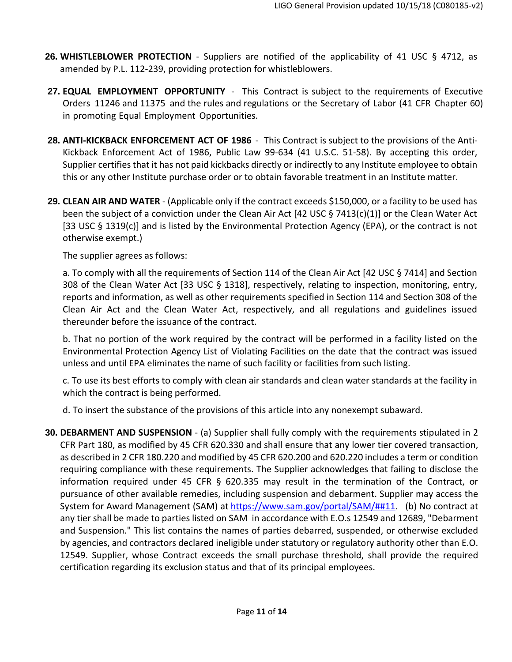- **26. WHISTLEBLOWER PROTECTION** ‐ Suppliers are notified of the applicability of 41 USC § 4712, as amended by P.L. 112‐239, providing protection for whistleblowers.
- **27. EQUAL EMPLOYMENT OPPORTUNITY** ‐ This Contract is subject to the requirements of Executive Orders 11246 and 11375 and the rules and regulations or the Secretary of Labor (41 CFR Chapter 60) in promoting Equal Employment Opportunities.
- **28. ANTI‐KICKBACK ENFORCEMENT ACT OF 1986** ‐ This Contract is subject to the provisions of the Anti‐ Kickback Enforcement Act of 1986, Public Law 99‐634 (41 U.S.C. 51‐58). By accepting this order, Supplier certifies that it has not paid kickbacks directly or indirectly to any Institute employee to obtain this or any other Institute purchase order or to obtain favorable treatment in an Institute matter.
- **29. CLEAN AIR AND WATER** ‐ (Applicable only if the contract exceeds \$150,000, or a facility to be used has been the subject of a conviction under the Clean Air Act [42 USC § 7413(c)(1)] or the Clean Water Act [33 USC § 1319(c)] and is listed by the Environmental Protection Agency (EPA), or the contract is not otherwise exempt.)

The supplier agrees as follows:

a. To comply with all the requirements of Section 114 of the Clean Air Act [42 USC § 7414] and Section 308 of the Clean Water Act [33 USC § 1318], respectively, relating to inspection, monitoring, entry, reports and information, as well as other requirements specified in Section 114 and Section 308 of the Clean Air Act and the Clean Water Act, respectively, and all regulations and guidelines issued thereunder before the issuance of the contract.

b. That no portion of the work required by the contract will be performed in a facility listed on the Environmental Protection Agency List of Violating Facilities on the date that the contract was issued unless and until EPA eliminates the name of such facility or facilities from such listing.

c. To use its best efforts to comply with clean air standards and clean water standards at the facility in which the contract is being performed.

d. To insert the substance of the provisions of this article into any nonexempt subaward.

**30. DEBARMENT AND SUSPENSION** ‐ (a) Supplier shall fully comply with the requirements stipulated in 2 CFR Part 180, as modified by 45 CFR 620.330 and shall ensure that any lower tier covered transaction, as described in 2 CFR 180.220 and modified by 45 CFR 620.200 and 620.220 includes a term or condition requiring compliance with these requirements. The Supplier acknowledges that failing to disclose the information required under 45 CFR § 620.335 may result in the termination of the Contract, or pursuance of other available remedies, including suspension and debarment. Supplier may access the System for Award Management (SAM) at https://www.sam.gov/portal/SAM/##11. (b) No contract at any tier shall be made to parties listed on SAM in accordance with E.O.s 12549 and 12689, "Debarment and Suspension." This list contains the names of parties debarred, suspended, or otherwise excluded by agencies, and contractors declared ineligible under statutory or regulatory authority other than E.O. 12549. Supplier, whose Contract exceeds the small purchase threshold, shall provide the required certification regarding its exclusion status and that of its principal employees.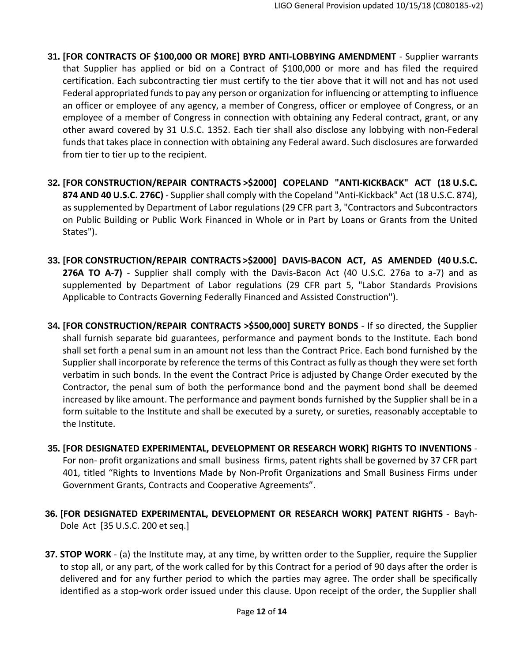- **31. [FOR CONTRACTS OF \$100,000 OR MORE] BYRD ANTI‐LOBBYING AMENDMENT** ‐ Supplier warrants that Supplier has applied or bid on a Contract of \$100,000 or more and has filed the required certification. Each subcontracting tier must certify to the tier above that it will not and has not used Federal appropriated funds to pay any person or organization for influencing or attempting to influence an officer or employee of any agency, a member of Congress, officer or employee of Congress, or an employee of a member of Congress in connection with obtaining any Federal contract, grant, or any other award covered by 31 U.S.C. 1352. Each tier shall also disclose any lobbying with non‐Federal funds that takes place in connection with obtaining any Federal award. Such disclosures are forwarded from tier to tier up to the recipient.
- **32. [FOR CONSTRUCTION/REPAIR CONTRACTS >\$2000] COPELAND "ANTI‐KICKBACK" ACT (18 U.S.C. 874 AND 40 U.S.C. 276C)** ‐ Supplier shall comply with the Copeland "Anti‐Kickback" Act (18 U.S.C. 874), as supplemented by Department of Labor regulations (29 CFR part 3, "Contractors and Subcontractors on Public Building or Public Work Financed in Whole or in Part by Loans or Grants from the United States").
- **33. [FOR CONSTRUCTION/REPAIR CONTRACTS >\$2000] DAVIS‐BACON ACT, AS AMENDED (40 U.S.C. 276A TO A‐7)** ‐ Supplier shall comply with the Davis‐Bacon Act (40 U.S.C. 276a to a‐7) and as supplemented by Department of Labor regulations (29 CFR part 5, "Labor Standards Provisions Applicable to Contracts Governing Federally Financed and Assisted Construction").
- **34. [FOR CONSTRUCTION/REPAIR CONTRACTS >\$500,000] SURETY BONDS** ‐ If so directed, the Supplier shall furnish separate bid guarantees, performance and payment bonds to the Institute. Each bond shall set forth a penal sum in an amount not less than the Contract Price. Each bond furnished by the Supplier shall incorporate by reference the terms of this Contract as fully as though they were set forth verbatim in such bonds. In the event the Contract Price is adjusted by Change Order executed by the Contractor, the penal sum of both the performance bond and the payment bond shall be deemed increased by like amount. The performance and payment bonds furnished by the Supplier shall be in a form suitable to the Institute and shall be executed by a surety, or sureties, reasonably acceptable to the Institute.
- **35. [FOR DESIGNATED EXPERIMENTAL, DEVELOPMENT OR RESEARCH WORK] RIGHTS TO INVENTIONS** ‐ For non‐ profit organizations and small business firms, patent rights shall be governed by 37 CFR part 401, titled "Rights to Inventions Made by Non-Profit Organizations and Small Business Firms under Government Grants, Contracts and Cooperative Agreements".
- **36. [FOR DESIGNATED EXPERIMENTAL, DEVELOPMENT OR RESEARCH WORK] PATENT RIGHTS** ‐ Bayh‐ Dole Act [35 U.S.C. 200 et seq.]
- **37. STOP WORK** ‐ (a) the Institute may, at any time, by written order to the Supplier, require the Supplier to stop all, or any part, of the work called for by this Contract for a period of 90 days after the order is delivered and for any further period to which the parties may agree. The order shall be specifically identified as a stop-work order issued under this clause. Upon receipt of the order, the Supplier shall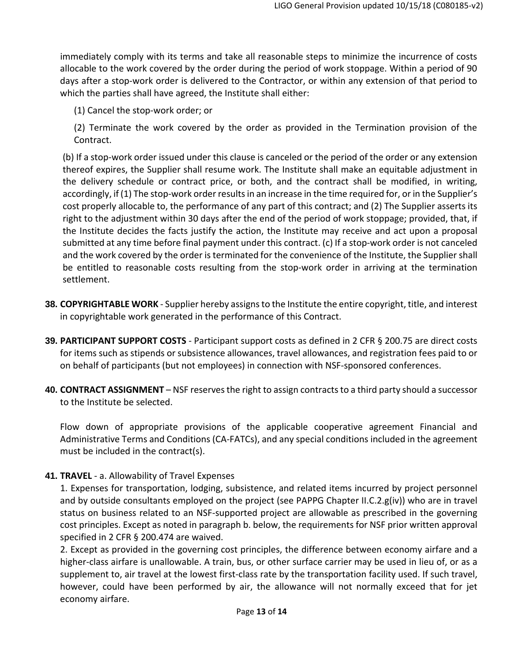immediately comply with its terms and take all reasonable steps to minimize the incurrence of costs allocable to the work covered by the order during the period of work stoppage. Within a period of 90 days after a stop‐work order is delivered to the Contractor, or within any extension of that period to which the parties shall have agreed, the Institute shall either:

(1) Cancel the stop‐work order; or

(2) Terminate the work covered by the order as provided in the Termination provision of the Contract.

(b) If a stop‐work order issued under this clause is canceled or the period of the order or any extension thereof expires, the Supplier shall resume work. The Institute shall make an equitable adjustment in the delivery schedule or contract price, or both, and the contract shall be modified, in writing, accordingly, if (1) The stop-work order results in an increase in the time required for, or in the Supplier's cost properly allocable to, the performance of any part of this contract; and (2) The Supplier asserts its right to the adjustment within 30 days after the end of the period of work stoppage; provided, that, if the Institute decides the facts justify the action, the Institute may receive and act upon a proposal submitted at any time before final payment under this contract. (c) If a stop-work order is not canceled and the work covered by the order is terminated for the convenience of the Institute, the Suppliershall be entitled to reasonable costs resulting from the stop-work order in arriving at the termination settlement.

- **38. COPYRIGHTABLE WORK** ‐ Supplier hereby assignsto the Institute the entire copyright, title, and interest in copyrightable work generated in the performance of this Contract.
- **39. PARTICIPANT SUPPORT COSTS** ‐ Participant support costs as defined in 2 CFR § 200.75 are direct costs for items such as stipends or subsistence allowances, travel allowances, and registration fees paid to or on behalf of participants (but not employees) in connection with NSF‐sponsored conferences.
- **40. CONTRACT ASSIGNMENT** NSF reservesthe right to assign contractsto a third party should a successor to the Institute be selected.

Flow down of appropriate provisions of the applicable cooperative agreement Financial and Administrative Terms and Conditions (CA‐FATCs), and any special conditions included in the agreement must be included in the contract(s).

## **41. TRAVEL** ‐ a. Allowability of Travel Expenses

1. Expenses for transportation, lodging, subsistence, and related items incurred by project personnel and by outside consultants employed on the project (see PAPPG Chapter II.C.2.g(iv)) who are in travel status on business related to an NSF‐supported project are allowable as prescribed in the governing cost principles. Except as noted in paragraph b. below, the requirements for NSF prior written approval specified in 2 CFR § 200.474 are waived.

2. Except as provided in the governing cost principles, the difference between economy airfare and a higher-class airfare is unallowable. A train, bus, or other surface carrier may be used in lieu of, or as a supplement to, air travel at the lowest first-class rate by the transportation facility used. If such travel, however, could have been performed by air, the allowance will not normally exceed that for jet economy airfare.